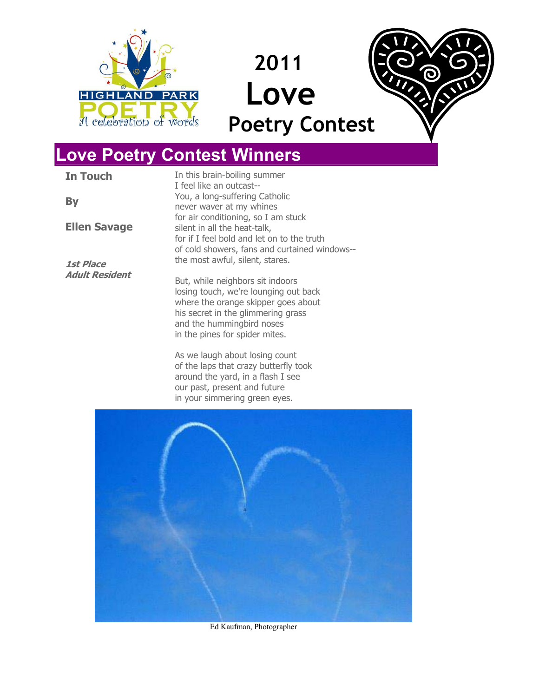





# **Love Poetry Contest Winners**

**In Touch** 

**By** 

**Ellen Savage** 

**1st Place Adult Resident** I feel like an outcast-- You, a long-suffering Catholic never waver at my whines for air conditioning, so I am stuck silent in all the heat-talk, for if I feel bold and let on to the truth of cold showers, fans and curtained windows- the most awful, silent, stares.

In this brain-boiling summer

But, while neighbors sit indoors losing touch, we're lounging out back where the orange skipper goes about his secret in the glimmering grass and the hummingbird noses in the pines for spider mites.

As we laugh about losing count of the laps that crazy butterfly took around the yard, in a flash I see our past, present and future in your simmering green eyes.



Ed Kaufman, Photographer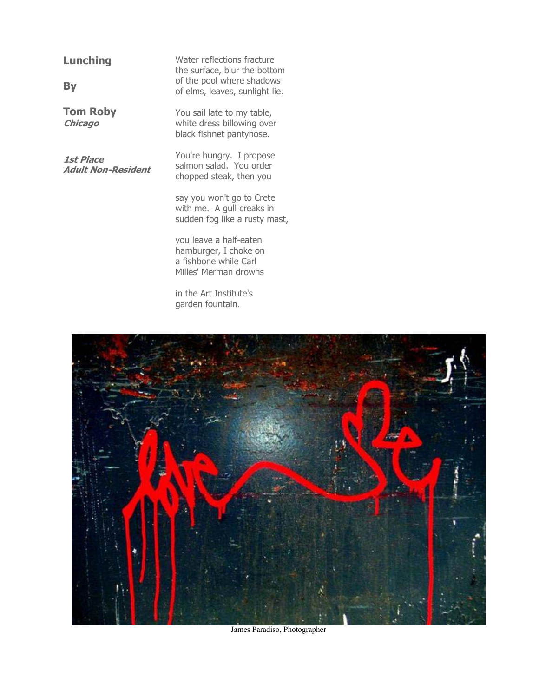## **Lunching**

**By** 

**Tom Roby Chicago**

**1st Place Adult Non-Resident**  Water reflections fracture the surface, blur the bottom of the pool where shadows of elms, leaves, sunlight lie.

You sail late to my table, white dress billowing over black fishnet pantyhose.

You're hungry. I propose salmon salad. You order chopped steak, then you

say you won't go to Crete with me. A gull creaks in sudden fog like a rusty mast,

you leave a half-eaten hamburger, I choke on a fishbone while Carl Milles' Merman drowns

in the Art Institute's garden fountain.



James Paradiso, Photographer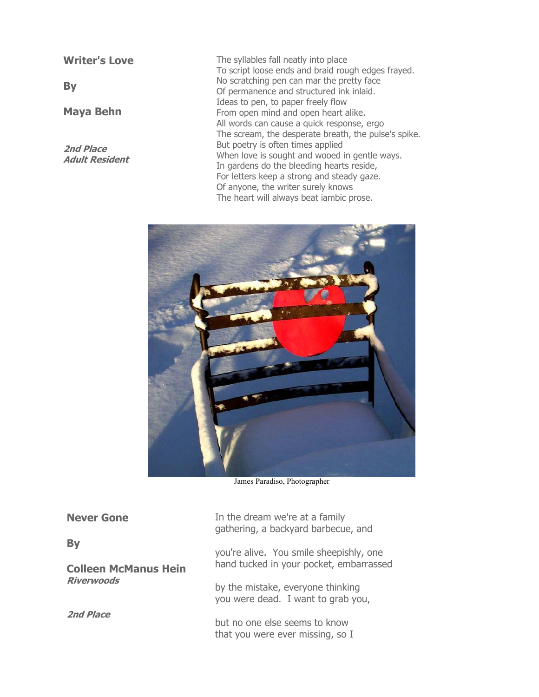**Writer's Love** 

**By** 

**Maya Behn** 

**2nd Place Adult Resident** The syllables fall neatly into place To script loose ends and braid rough edges frayed. No scratching pen can mar the pretty face Of permanence and structured ink inlaid. Ideas to pen, to paper freely flow From open mind and open heart alike. All words can cause a quick response, ergo The scream, the desperate breath, the pulse's spike. But poetry is often times applied When love is sought and wooed in gentle ways. In gardens do the bleeding hearts reside, For letters keep a strong and steady gaze. Of anyone, the writer surely knows The heart will always beat iambic prose.



James Paradiso, Photographer

| <b>Never Gone</b>                                             | In the dream we're at a family<br>gathering, a backyard barbecue, and              |
|---------------------------------------------------------------|------------------------------------------------------------------------------------|
| <b>By</b><br><b>Colleen McManus Hein</b><br><b>Riverwoods</b> | you're alive. You smile sheepishly, one<br>hand tucked in your pocket, embarrassed |
|                                                               | by the mistake, everyone thinking<br>you were dead. I want to grab you,            |
| <b>2nd Place</b>                                              | but no one else seems to know<br>that you were ever missing, so I                  |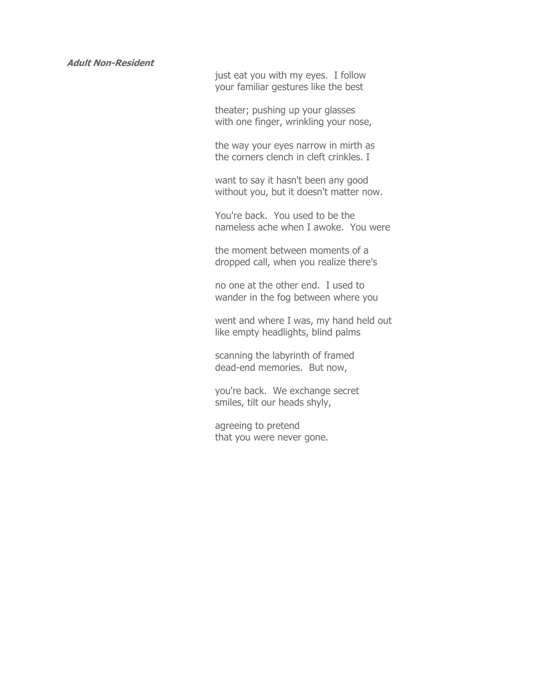just eat you with my eyes. I follow your familiar gestures like the best

theater; pushing up your glasses with one finger, wrinkling your nose,

the way your eyes narrow in mirth as the corners clench in cleft crinkles. I

want to say it hasn't been any good without you, but it doesn't matter now.

You're back. You used to be the nameless ache when I awoke. You were

the moment between moments of a dropped call, when you realize there's

no one at the other end. I used to wander in the fog between where you

went and where I was, my hand held out like empty headlights, blind palms

scanning the labyrinth of framed dead-end memories. But now,

you're back. We exchange secret smiles, tilt our heads shyly,

agreeing to pretend that you were never gone.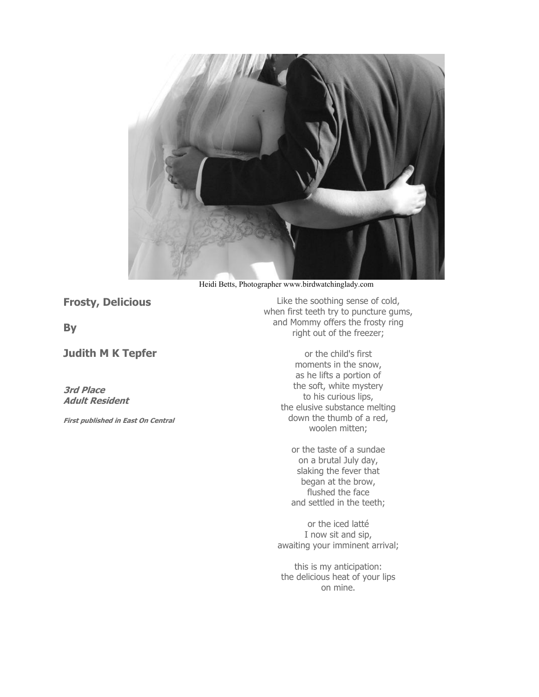

Heidi Betts, Photographer www.birdwatchinglady.com

**Frosty, Delicious** 

**By** 

### **Judith M K Tepfer**

**3rd Place Adult Resident** 

**First published in East On Central**

Like the soothing sense of cold, when first teeth try to puncture gums, and Mommy offers the frosty ring right out of the freezer;

> or the child's first moments in the snow, as he lifts a portion of the soft, white mystery to his curious lips, the elusive substance melting down the thumb of a red, woolen mitten;

or the taste of a sundae on a brutal July day, slaking the fever that began at the brow, flushed the face and settled in the teeth;

or the iced latté I now sit and sip, awaiting your imminent arrival;

this is my anticipation: the delicious heat of your lips on mine.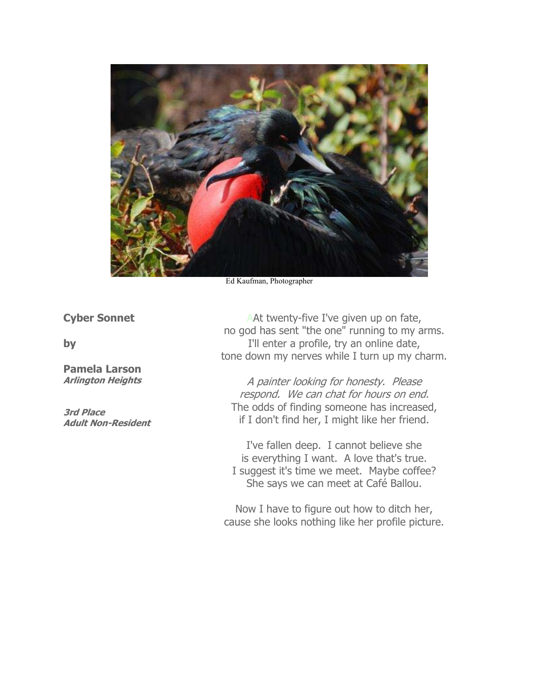

Ed Kaufman, Photographer

**Cyber Sonnet** 

**by** 

**Pamela Larson Arlington Heights** 

**3rd Place Adult Non-Resident**

AAt twenty-five I've given up on fate, no god has sent "the one" running to my arms. I'll enter a profile, try an online date, tone down my nerves while I turn up my charm.

A painter looking for honesty. Please respond. We can chat for hours on end. The odds of finding someone has increased, if I don't find her, I might like her friend.

I've fallen deep. I cannot believe she is everything I want. A love that's true. I suggest it's time we meet. Maybe coffee? She says we can meet at Café Ballou.

Now I have to figure out how to ditch her, cause she looks nothing like her profile picture.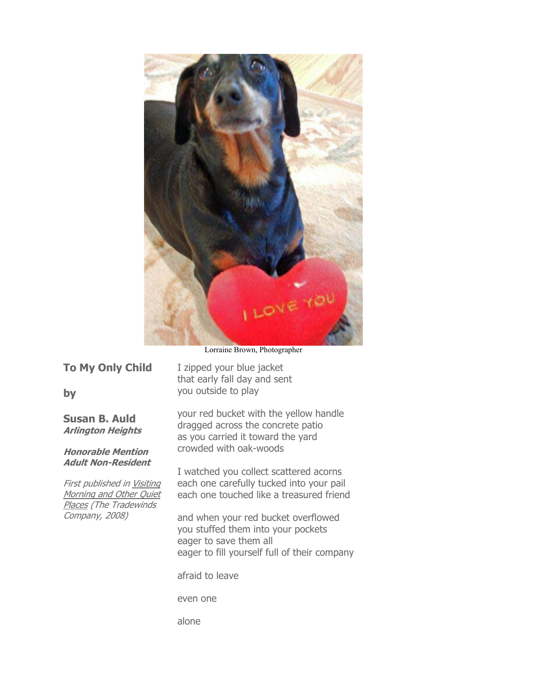

Lorraine Brown, Photographer

|  | <b>To My Only Child</b> |
|--|-------------------------|
|  |                         |

**by** 

**Susan B. Auld Arlington Heights** 

**Honorable Mention Adult Non-Resident** 

First published in Visiting Morning and Other Quiet Places (The Tradewinds Company, 2008)

I zipped your blue jacket that early fall day and sent you outside to play

your red bucket with the yellow handle dragged across the concrete patio as you carried it toward the yard crowded with oak-woods

I watched you collect scattered acorns each one carefully tucked into your pail each one touched like a treasured friend

and when your red bucket overflowed you stuffed them into your pockets eager to save them all eager to fill yourself full of their company

afraid to leave

even one

alone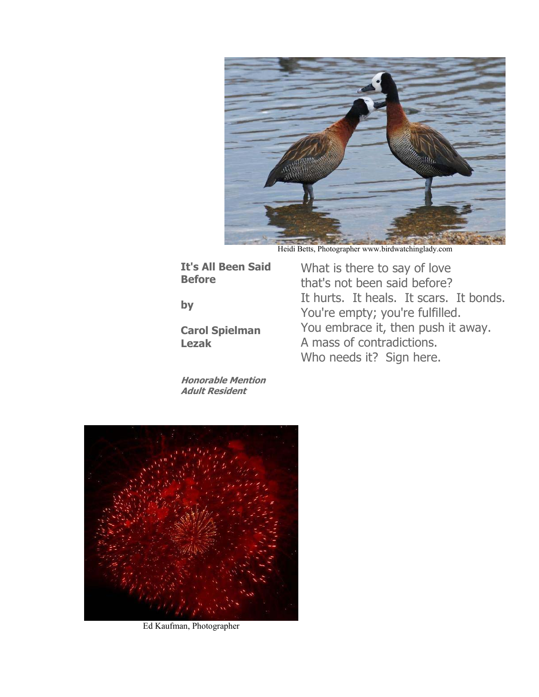

Heidi Betts, Photographer www.birdwatchinglady.com

What is there to say of love that's not been said before?

You're empty; you're fulfilled.

A mass of contradictions. Who needs it? Sign here.

It hurts. It heals. It scars. It bonds.

You embrace it, then push it away.

**It's All Been Said Before** 

**by** 

**Carol Spielman Lezak** 

**Honorable Mention Adult Resident**



Ed Kaufman, Photographer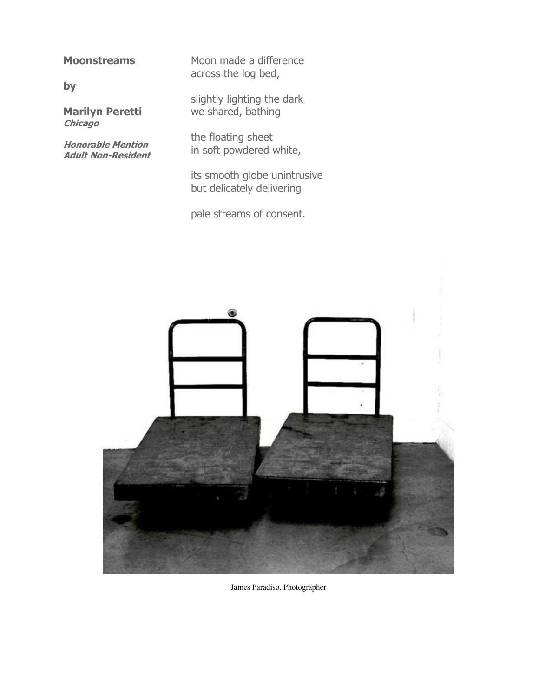#### **Moonstreams**

**by** 

**Marilyn Peretti Chicago** 

**Honorable Mention Adult Non-Resident** Moon made a difference across the log bed,

slightly lighting the dark we shared, bathing

the floating sheet in soft powdered white,

its smooth globe unintrusive but delicately delivering

pale streams of consent.



James Paradiso, Photographer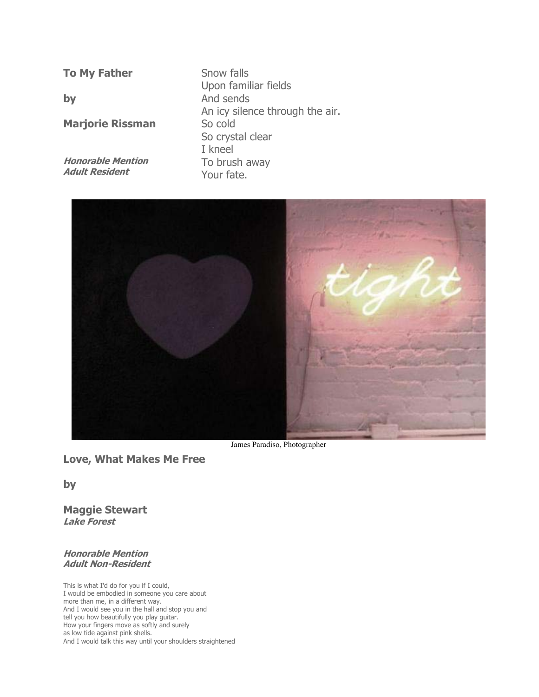**To My Father** 

**by** 

**Marjorie Rissman** 

**Honorable Mention Adult Resident**

Snow falls Upon familiar fields And sends An icy silence through the air. So cold So crystal clear I kneel To brush away Your fate.



James Paradiso, Photographer

**Love, What Makes Me Free** 

**by** 

**Maggie Stewart Lake Forest** 

#### **Honorable Mention Adult Non-Resident**

This is what I'd do for you if I could, I would be embodied in someone you care about more than me, in a different way. And I would see you in the hall and stop you and tell you how beautifully you play guitar. How your fingers move as softly and surely as low tide against pink shells. And I would talk this way until your shoulders straightened